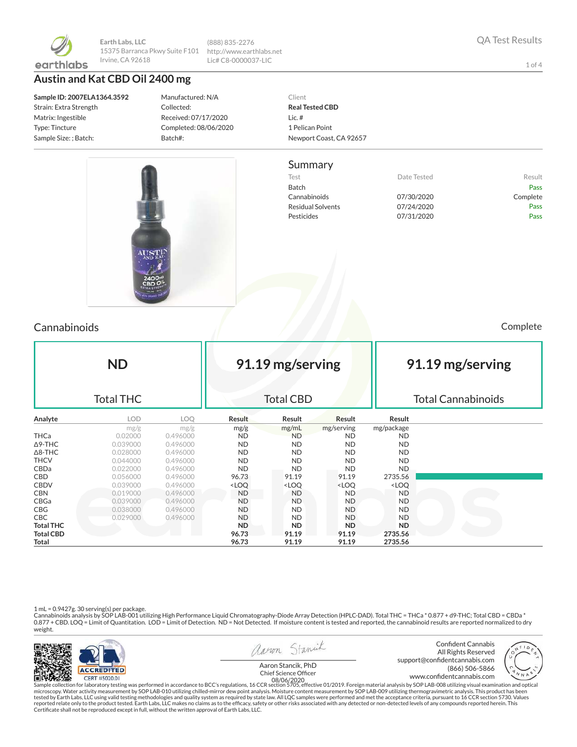

**Earth Labs, LLC** 15375 Barranca Pkwy Suite F101 Irvine, CA 92618

**Austin and Kat CBD Oil 2400 mg**

**Sample ID: 2007ELA1364.3592** Strain: Extra Strength Matrix: Ingestible Type: Tincture Sample Size: ; Batch:

Manufactured: N/A Collected: Received: 07/17/2020 Completed: 08/06/2020 Batch#:

(888) 835-2276 http://www.earthlabs.net Lic# C8-0000037-LIC

#### Client **Real Tested CBD** Lic. # 1 Pelican Point Newport Coast, CA 92657

#### Summary

Test **Test Result** Date Tested **Result** Batch Pass Cannabinoids 07/30/2020 Complete Residual Solvents 07/24/2020 Pass Pesticides 07/31/2020 Pass

Cannabinoids Complete

| <b>ND</b><br><b>Total THC</b> |            |            |                                                                                                                  | 91.19 mg/serving<br><b>Total CBD</b>                                                 |                                                          |                              | 91.19 mg/serving<br><b>Total Cannabinoids</b> |  |  |
|-------------------------------|------------|------------|------------------------------------------------------------------------------------------------------------------|--------------------------------------------------------------------------------------|----------------------------------------------------------|------------------------------|-----------------------------------------------|--|--|
| Analyte                       | <b>LOD</b> | <b>LOO</b> | Result                                                                                                           | Result                                                                               | Result                                                   | Result                       |                                               |  |  |
|                               | mg/g       | mg/g       | mg/g                                                                                                             | mg/mL                                                                                | mg/serving                                               | mg/package                   |                                               |  |  |
| <b>THCa</b>                   | 0.02000    | 0.496000   | <b>ND</b>                                                                                                        | <b>ND</b>                                                                            | <b>ND</b>                                                | <b>ND</b>                    |                                               |  |  |
| Δ9-THC                        | 0.039000   | 0.496000   | <b>ND</b>                                                                                                        | <b>ND</b>                                                                            | <b>ND</b>                                                | <b>ND</b>                    |                                               |  |  |
| $\Delta$ 8-THC                | 0.028000   | 0.496000   | <b>ND</b>                                                                                                        | <b>ND</b>                                                                            | <b>ND</b>                                                | <b>ND</b>                    |                                               |  |  |
| THCV                          | 0.044000   | 0.496000   | <b>ND</b>                                                                                                        | <b>ND</b>                                                                            | <b>ND</b>                                                | <b>ND</b>                    |                                               |  |  |
| CBDa                          | 0.022000   | 0.496000   | <b>ND</b>                                                                                                        | <b>ND</b>                                                                            | <b>ND</b>                                                | <b>ND</b>                    |                                               |  |  |
| CBD                           | 0.056000   | 0.496000   | 96.73                                                                                                            | 91.19                                                                                | 91.19                                                    | 2735.56                      |                                               |  |  |
| <b>CBDV</b>                   | 0.039000   | 0.496000   | <loq< th=""><th><loq< th=""><th><loq< th=""><th><loq< th=""><th></th></loq<></th></loq<></th></loq<></th></loq<> | <loq< th=""><th><loq< th=""><th><loq< th=""><th></th></loq<></th></loq<></th></loq<> | <loq< th=""><th><loq< th=""><th></th></loq<></th></loq<> | <loq< th=""><th></th></loq<> |                                               |  |  |
| CBN                           | 0.019000   | 0.496000   | ND                                                                                                               | <b>ND</b>                                                                            | ND                                                       | ND                           |                                               |  |  |
| CBGa                          | 0.039000   | 0.496000   | <b>ND</b>                                                                                                        | <b>ND</b>                                                                            | ND.                                                      | ND.                          |                                               |  |  |
| CBG                           | 0.038000   | 0.496000   | <b>ND</b>                                                                                                        | <b>ND</b>                                                                            | <b>ND</b>                                                | <b>ND</b>                    |                                               |  |  |
| CBC.                          | 0.029000   | 0.496000   | <b>ND</b>                                                                                                        | <b>ND</b>                                                                            | <b>ND</b>                                                | <b>ND</b>                    |                                               |  |  |
| <b>Total THC</b>              |            |            | <b>ND</b>                                                                                                        | <b>ND</b>                                                                            | <b>ND</b>                                                | ND                           |                                               |  |  |
| <b>Total CBD</b>              |            |            | 96.73                                                                                                            | 91.19                                                                                | 91.19                                                    | 2735.56                      |                                               |  |  |
| Total                         |            |            | 96.73                                                                                                            | 91.19                                                                                | 91.19                                                    | 2735.56                      |                                               |  |  |

1 mL = 0.9427g. 30 serving(s) per package.<br>Cannabinoids analysis by SOP LAB-001 utilizing High Performance Liquid Chromatography-Diode Array Detection (HPLC-DAD). Total THC = THCa \* 0.877 + d9-THC; Total CBD = CBDa \*<br>0.87 weight.



Sample collection for laboratory testing was performed in accordance to BCC's regulations, 16 CCR section 5705, effective 01/2019. Foreign material analysis by SOP LAB-008 utilizing visual examination and optical fissure o

QA Test Results

1 of 4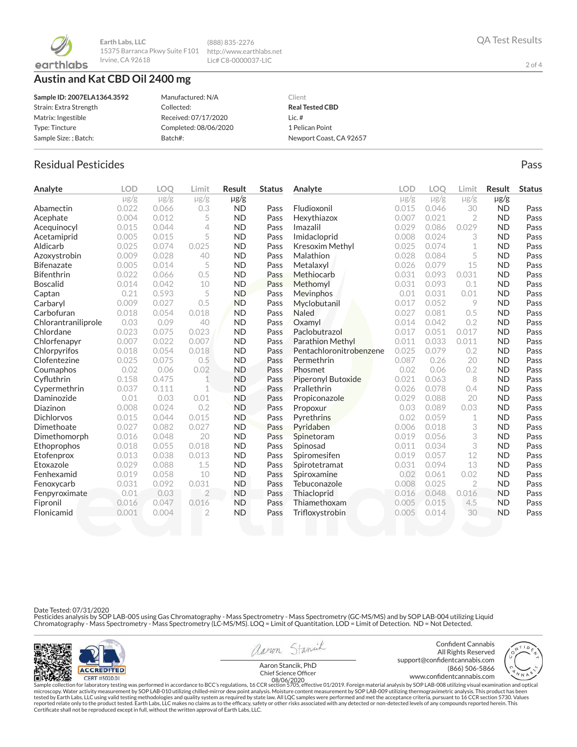

**Earth Labs, LLC** 15375 Barranca Pkwy Suite F101 http://www.earthlabs.net Irvine, CA 92618

# **Austin and Kat CBD Oil 2400 mg**

| Sample ID: 2007ELA1364.3592 | Manufactured: N/A     | Client                  |
|-----------------------------|-----------------------|-------------------------|
| Strain: Extra Strength      | Collected:            | <b>Real Tested CBD</b>  |
| Matrix: Ingestible          | Received: 07/17/2020  | Lic. $#$                |
| Type: Tincture              | Completed: 08/06/2020 | 1 Pelican Point         |
| Sample Size: ; Batch:       | Batch#:               | Newport Coast, CA 92657 |

(888) 835-2276 Lic# C8-0000037-LIC

# Residual Pesticides **Passage Community Community Community** Pass Pass Pass

| Analyte             | <b>LOD</b> | <b>LOO</b> | Limit          | <b>Result</b> | <b>Status</b> | Analyte                 | <b>LOD</b> | <b>LOO</b> | Limit          | <b>Result</b> | <b>Status</b> |
|---------------------|------------|------------|----------------|---------------|---------------|-------------------------|------------|------------|----------------|---------------|---------------|
|                     | $\mu$ g/g  | $\mu$ g/g  | $\mu$ g/g      | $\mu$ g/g     |               |                         | $\mu$ g/g  | $\mu$ g/g  | $\mu$ g/g      | $\mu$ g/g     |               |
| Abamectin           | 0.022      | 0.066      | 0.3            | <b>ND</b>     | Pass          | Fludioxonil             | 0.015      | 0.046      | 30             | <b>ND</b>     | Pass          |
| Acephate            | 0.004      | 0.012      | 5              | <b>ND</b>     | Pass          | Hexythiazox             | 0.007      | 0.021      | $\overline{2}$ | <b>ND</b>     | Pass          |
| Acequinocyl         | 0.015      | 0.044      | 4              | <b>ND</b>     | Pass          | Imazalil                | 0.029      | 0.086      | 0.029          | <b>ND</b>     | Pass          |
| Acetamiprid         | 0.005      | 0.015      | 5              | <b>ND</b>     | Pass          | Imidacloprid            | 0.008      | 0.024      | 3              | <b>ND</b>     | Pass          |
| Aldicarb            | 0.025      | 0.074      | 0.025          | <b>ND</b>     | Pass          | Kresoxim Methyl         | 0.025      | 0.074      | $\mathbf 1$    | <b>ND</b>     | Pass          |
| Azoxystrobin        | 0.009      | 0.028      | 40             | <b>ND</b>     | Pass          | Malathion               | 0.028      | 0.084      | 5              | <b>ND</b>     | Pass          |
| <b>Bifenazate</b>   | 0.005      | 0.014      | 5              | <b>ND</b>     | Pass          | Metalaxyl               | 0.026      | 0.079      | 15             | <b>ND</b>     | Pass          |
| <b>Bifenthrin</b>   | 0.022      | 0.066      | 0.5            | <b>ND</b>     | Pass          | Methiocarb              | 0.031      | 0.093      | 0.031          | <b>ND</b>     | Pass          |
| <b>Boscalid</b>     | 0.014      | 0.042      | 10             | <b>ND</b>     | Pass          | Methomyl                | 0.031      | 0.093      | 0.1            | <b>ND</b>     | Pass          |
| Captan              | 0.21       | 0.593      | 5              | <b>ND</b>     | Pass          | Mevinphos               | 0.01       | 0.031      | 0.01           | <b>ND</b>     | Pass          |
| Carbaryl            | 0.009      | 0.027      | 0.5            | <b>ND</b>     | Pass          | Myclobutanil            | 0.017      | 0.052      | 9              | <b>ND</b>     | Pass          |
| Carbofuran          | 0.018      | 0.054      | 0.018          | <b>ND</b>     | Pass          | <b>Naled</b>            | 0.027      | 0.081      | 0.5            | <b>ND</b>     | Pass          |
| Chlorantraniliprole | 0.03       | 0.09       | 40             | <b>ND</b>     | Pass          | Oxamyl                  | 0.014      | 0.042      | 0.2            | <b>ND</b>     | Pass          |
| Chlordane           | 0.023      | 0.075      | 0.023          | <b>ND</b>     | Pass          | Paclobutrazol           | 0.017      | 0.051      | 0.017          | <b>ND</b>     | Pass          |
| Chlorfenapyr        | 0.007      | 0.022      | 0.007          | <b>ND</b>     | Pass          | <b>Parathion Methyl</b> | 0.011      | 0.033      | 0.011          | <b>ND</b>     | Pass          |
| Chlorpyrifos        | 0.018      | 0.054      | 0.018          | <b>ND</b>     | Pass          | Pentachloronitrobenzene | 0.025      | 0.079      | 0.2            | <b>ND</b>     | Pass          |
| Clofentezine        | 0.025      | 0.075      | 0.5            | <b>ND</b>     | Pass          | Permethrin              | 0.087      | 0.26       | 20             | <b>ND</b>     | Pass          |
| Coumaphos           | 0.02       | 0.06       | 0.02           | <b>ND</b>     | Pass          | Phosmet                 | 0.02       | 0.06       | 0.2            | <b>ND</b>     | Pass          |
| Cyfluthrin          | 0.158      | 0.475      | $\mathbf{1}$   | <b>ND</b>     | Pass          | Piperonyl Butoxide      | 0.021      | 0.063      | 8              | <b>ND</b>     | Pass          |
| Cypermethrin        | 0.037      | 0.111      | 1              | <b>ND</b>     | Pass          | Prallethrin             | 0.026      | 0.078      | 0.4            | <b>ND</b>     | Pass          |
| Daminozide          | 0.01       | 0.03       | 0.01           | <b>ND</b>     | Pass          | Propiconazole           | 0.029      | 0.088      | 20             | <b>ND</b>     | Pass          |
| Diazinon            | 0.008      | 0.024      | 0.2            | <b>ND</b>     | Pass          | Propoxur                | 0.03       | 0.089      | 0.03           | <b>ND</b>     | Pass          |
| <b>Dichlorvos</b>   | 0.015      | 0.044      | 0.015          | <b>ND</b>     | Pass          | Pyrethrins              | 0.02       | 0.059      | 1              | <b>ND</b>     | Pass          |
| Dimethoate          | 0.027      | 0.082      | 0.027          | <b>ND</b>     | Pass          | Pyridaben               | 0.006      | 0.018      | 3              | <b>ND</b>     | Pass          |
| Dimethomorph        | 0.016      | 0.048      | 20             | <b>ND</b>     | Pass          | Spinetoram              | 0.019      | 0.056      | 3              | <b>ND</b>     | Pass          |
| Ethoprophos         | 0.018      | 0.055      | 0.018          | <b>ND</b>     | Pass          | Spinosad                | 0.011      | 0.034      | 3              | <b>ND</b>     | Pass          |
| Etofenprox          | 0.013      | 0.038      | 0.013          | <b>ND</b>     | Pass          | Spiromesifen            | 0.019      | 0.057      | 12             | <b>ND</b>     | Pass          |
| Etoxazole           | 0.029      | 0.088      | 1.5            | <b>ND</b>     | Pass          | Spirotetramat           | 0.031      | 0.094      | 13             | <b>ND</b>     | Pass          |
| Fenhexamid          | 0.019      | 0.058      | 10             | <b>ND</b>     | Pass          | Spiroxamine             | 0.02       | 0.061      | 0.02           | <b>ND</b>     | Pass          |
| Fenoxycarb          | 0.031      | 0.092      | 0.031          | <b>ND</b>     | Pass          | Tebuconazole            | 0.008      | 0.025      | $\overline{2}$ | <b>ND</b>     | Pass          |
| Fenpyroximate       | 0.01       | 0.03       | $\overline{2}$ | <b>ND</b>     | Pass          | Thiacloprid             | 0.016      | 0.048      | 0.016          | <b>ND</b>     | Pass          |
| Fipronil            | 0.016      | 0.047      | 0.016          | <b>ND</b>     | Pass          | Thiamethoxam            | 0.005      | 0.015      | 4.5            | <b>ND</b>     | Pass          |
| Flonicamid          | 0.001      | 0.004      | $\overline{2}$ | <b>ND</b>     | Pass          | Trifloxystrobin         | 0.005      | 0.014      | 30             | <b>ND</b>     | Pass          |
|                     |            |            |                |               |               |                         |            |            |                |               |               |

Date Tested: 07/31/2020

Pesticides analysis by SOP LAB-005 using Gas Chromatography - Mass Spectrometry - Mass Spectrometry (GC-MS/MS) and by SOP LAB-004 utilizing Liquid<br>Chromatography - Mass Spectrometry - Mass Spectrometry (LC-MS/MS). LOQ = Li



```
aaron Stanick
```
Confident Cannabis All Rights Reserved support@confidentcannabis.com<br>666-5866 (866) 506-5866 (866) 506-5866

QA Test Results

2 of 4

www.condentcannabis.com 08/06/2020Aaron Stancik, PhD<br>Chief Science Officer

Sample collection for laboratory testing was performed in accordance to BCC's regulations, 16 CCR section 5705, effective 01/2019. Foreign material analysis by SOP LAB-008 utilizing visual examination and optical fissure o

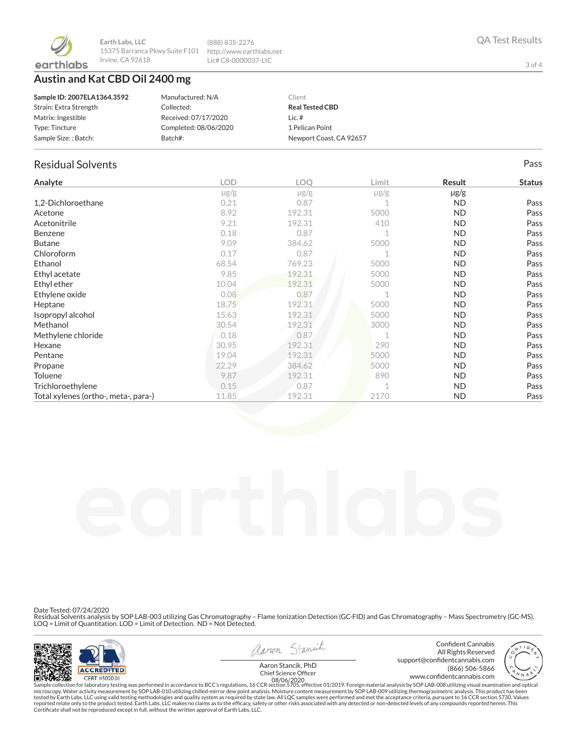

# **Austin and Kat CBD Oil 2400 mg**

| Sample ID: 2007ELA1364.3592 | Manufactured: N/A     | Client                  |
|-----------------------------|-----------------------|-------------------------|
| Strain: Extra Strength      | Collected:            | <b>Real Tested CBD</b>  |
| Matrix: Ingestible          | Received: 07/17/2020  | Lic. $#$                |
| Type: Tincture              | Completed: 08/06/2020 | 1 Pelican Point         |
| Sample Size: ; Batch:       | Batch#:               | Newport Coast, CA 92657 |

(888) 835-2276 http://www.earthlabs.net Lic# C8-0000037-LIC

#### Residual Solvents Pass

| Analyte                              | <b>LOD</b> | <b>LOO</b> | Limit     | Result    | <b>Status</b> |
|--------------------------------------|------------|------------|-----------|-----------|---------------|
|                                      | $\mu$ g/g  | $\mu$ g/g  | $\mu$ g/g | $\mu$ g/g |               |
| 1,2-Dichloroethane                   | 0.21       | 0.87       |           | <b>ND</b> | Pass          |
| Acetone                              | 8.92       | 192.31     | 5000      | <b>ND</b> | Pass          |
| Acetonitrile                         | 9.21       | 192.31     | 410       | <b>ND</b> | Pass          |
| <b>Benzene</b>                       | 0.18       | 0.87       |           | <b>ND</b> | Pass          |
| <b>Butane</b>                        | 9.09       | 384.62     | 5000      | <b>ND</b> | Pass          |
| Chloroform                           | 0.17       | 0.87       |           | <b>ND</b> | Pass          |
| Ethanol                              | 68.54      | 769.23     | 5000      | <b>ND</b> | Pass          |
| Ethyl acetate                        | 9.85       | 192.31     | 5000      | <b>ND</b> | Pass          |
| Ethyl ether                          | 10.04      | 192.31     | 5000      | <b>ND</b> | Pass          |
| Ethylene oxide                       | 0.08       | 0.87       |           | <b>ND</b> | Pass          |
| Heptane                              | 18.75      | 192.31     | 5000      | <b>ND</b> | Pass          |
| Isopropyl alcohol                    | 15.63      | 192.31     | 5000      | <b>ND</b> | Pass          |
| Methanol                             | 30.54      | 192.31     | 3000      | <b>ND</b> | Pass          |
| Methylene chloride                   | 0.18       | 0.87       |           | <b>ND</b> | Pass          |
| Hexane                               | 30.95      | 192.31     | 290       | <b>ND</b> | Pass          |
| Pentane                              | 19.04      | 192.31     | 5000      | <b>ND</b> | Pass          |
| Propane                              | 22.29      | 384.62     | 5000      | <b>ND</b> | Pass          |
| Toluene                              | 9.87       | 192.31     | 890       | <b>ND</b> | Pass          |
| Trichloroethylene                    | 0.15       | 0.87       |           | <b>ND</b> | Pass          |
| Total xylenes (ortho-, meta-, para-) | 11.85      | 192.31     | 2170      | <b>ND</b> | Pass          |

Date Tested: 07/24/2020

Residual Solvents analysis by SOP LAB-003 utilizing Gas Chromatography – Flame Ionization Detection (GC-FID) and Gas Chromatography – Mass Spectrometry (GC-MS).<br>LOQ = Limit of Quantitation. LOD = Limit of Detection. ND = N



aaron Stanick

Confident Cannabis All Rights Reserved support@confidentcannabis.com<br>666-5866 (866) 506-5866 (866) 506-5866



www.condentcannabis.com 08/06/2020Aaron Stancik, PhD<br>Chief Science Officer

Sample collection for laboratory testing was performed in accordance to BCC's regulations, 16 CCR section 5705, effective 01/2019. Foreign material analysis by SOP LAB-008 utilizing visual examination and optical fissure o

3 of 4